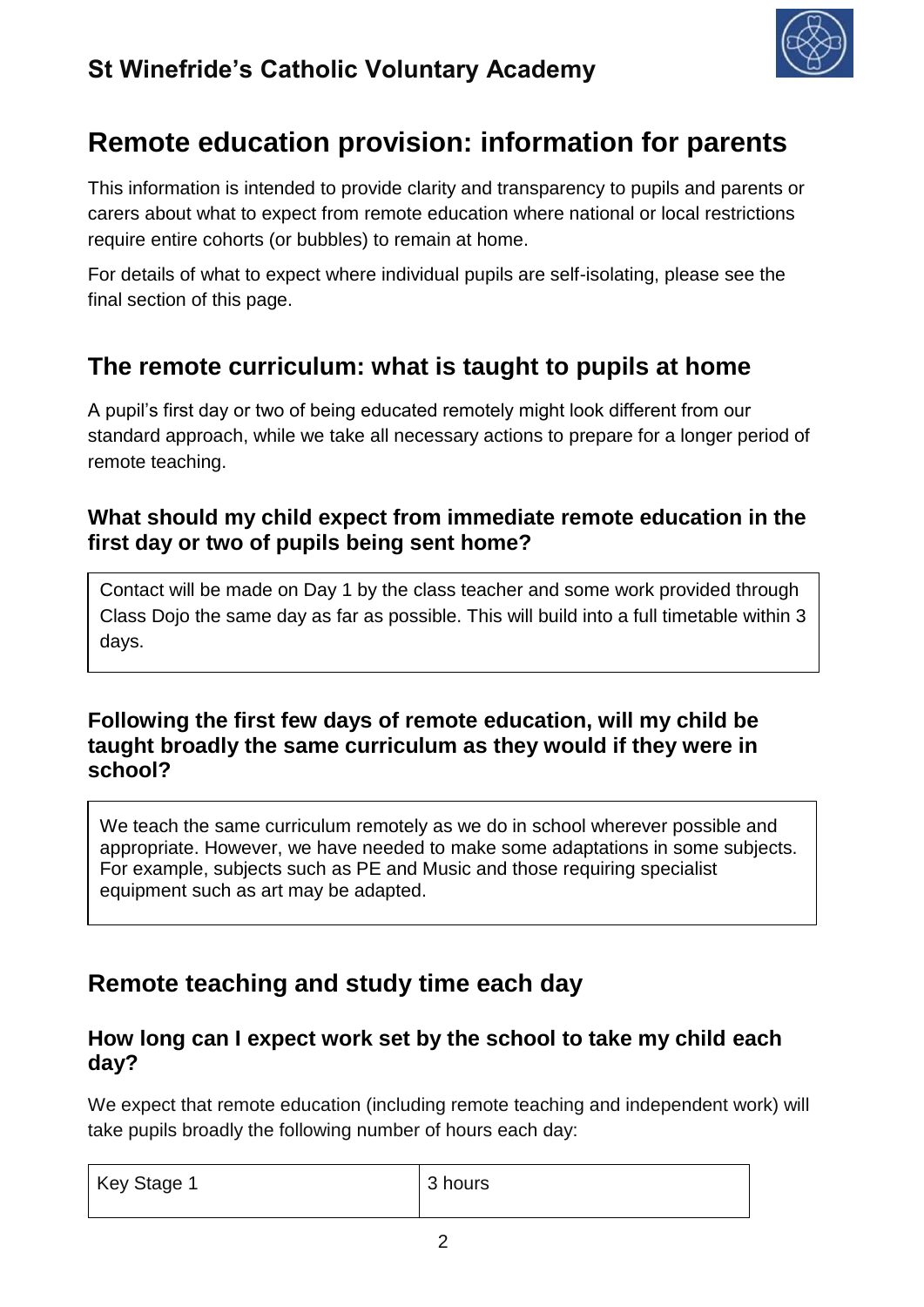

# **Remote education provision: information for parents**

This information is intended to provide clarity and transparency to pupils and parents or carers about what to expect from remote education where national or local restrictions require entire cohorts (or bubbles) to remain at home.

For details of what to expect where individual pupils are self-isolating, please see the final section of this page.

### **The remote curriculum: what is taught to pupils at home**

A pupil's first day or two of being educated remotely might look different from our standard approach, while we take all necessary actions to prepare for a longer period of remote teaching.

### **What should my child expect from immediate remote education in the first day or two of pupils being sent home?**

Contact will be made on Day 1 by the class teacher and some work provided through Class Dojo the same day as far as possible. This will build into a full timetable within 3 days.

### **Following the first few days of remote education, will my child be taught broadly the same curriculum as they would if they were in school?**

We teach the same curriculum remotely as we do in school wherever possible and appropriate. However, we have needed to make some adaptations in some subjects. For example, subjects such as PE and Music and those requiring specialist equipment such as art may be adapted.

# **Remote teaching and study time each day**

### **How long can I expect work set by the school to take my child each day?**

We expect that remote education (including remote teaching and independent work) will take pupils broadly the following number of hours each day:

| Key Stage 1 | 3 hours |
|-------------|---------|
|             |         |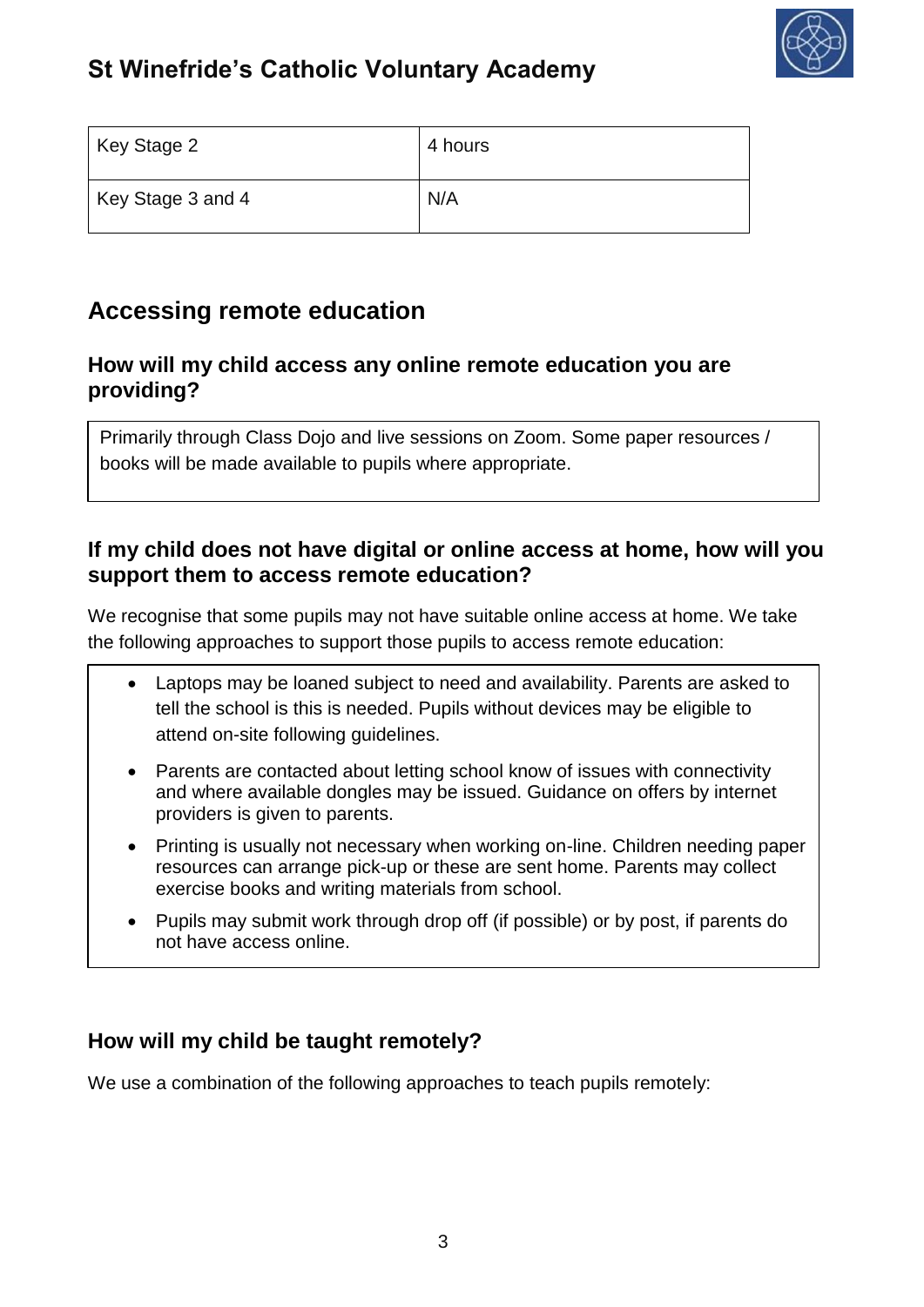

# **St Winefride's Catholic Voluntary Academy**

| Key Stage 2       | 4 hours |
|-------------------|---------|
| Key Stage 3 and 4 | N/A     |

### **Accessing remote education**

### **How will my child access any online remote education you are providing?**

Primarily through Class Dojo and live sessions on Zoom. Some paper resources / books will be made available to pupils where appropriate.

#### **If my child does not have digital or online access at home, how will you support them to access remote education?**

We recognise that some pupils may not have suitable online access at home. We take the following approaches to support those pupils to access remote education:

- Laptops may be loaned subject to need and availability. Parents are asked to tell the school is this is needed. Pupils without devices may be eligible to attend on-site following guidelines.
- Parents are contacted about letting school know of issues with connectivity and where available dongles may be issued. Guidance on offers by internet providers is given to parents.
- Printing is usually not necessary when working on-line. Children needing paper resources can arrange pick-up or these are sent home. Parents may collect exercise books and writing materials from school.
- Pupils may submit work through drop off (if possible) or by post, if parents do not have access online.

### **How will my child be taught remotely?**

We use a combination of the following approaches to teach pupils remotely: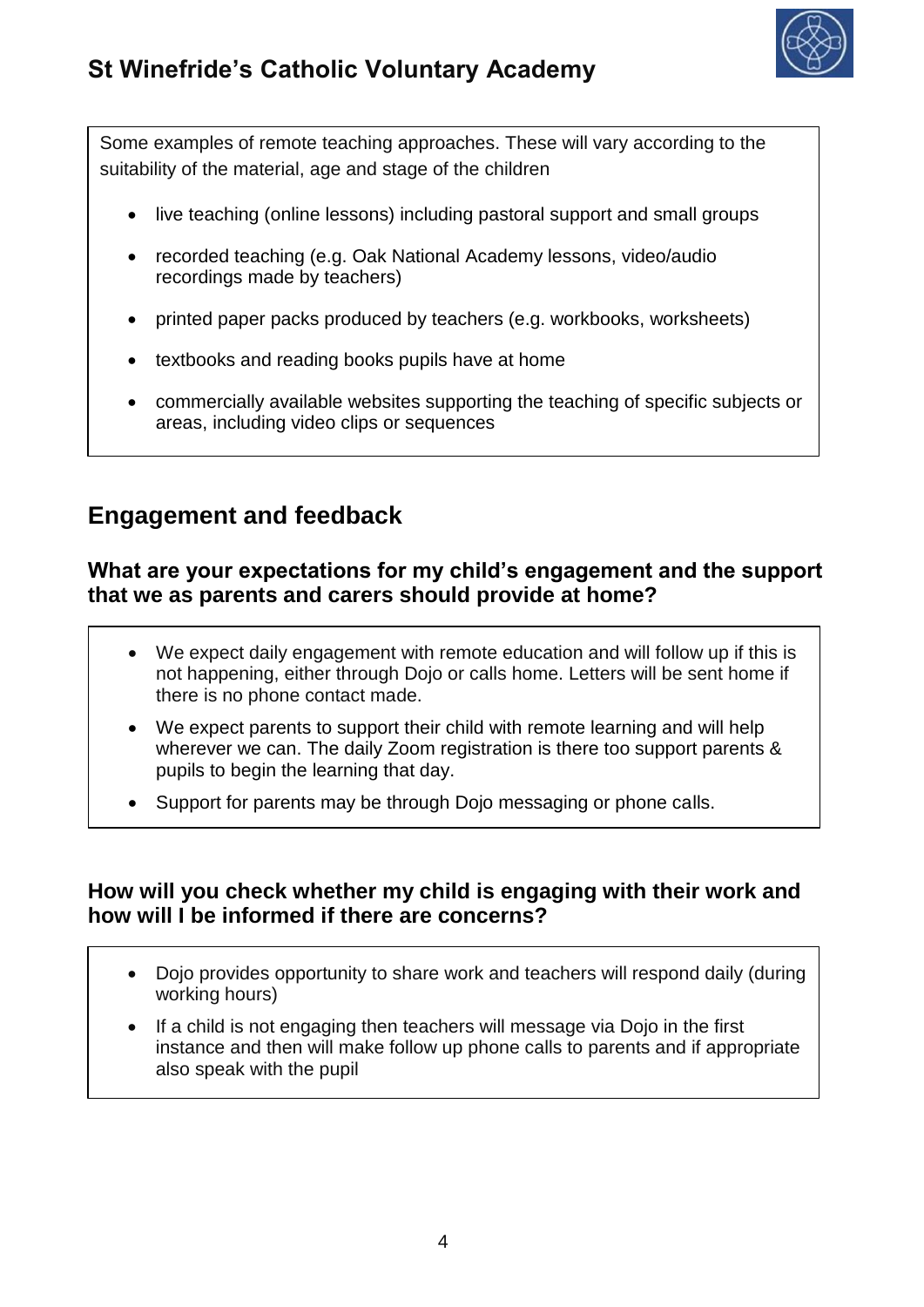

Some examples of remote teaching approaches. These will vary according to the suitability of the material, age and stage of the children

- live teaching (online lessons) including pastoral support and small groups
- recorded teaching (e.g. Oak National Academy lessons, video/audio recordings made by teachers)
- printed paper packs produced by teachers (e.g. workbooks, worksheets)
- textbooks and reading books pupils have at home
- commercially available websites supporting the teaching of specific subjects or areas, including video clips or sequences

### **Engagement and feedback**

#### **What are your expectations for my child's engagement and the support that we as parents and carers should provide at home?**

- We expect daily engagement with remote education and will follow up if this is not happening, either through Dojo or calls home. Letters will be sent home if there is no phone contact made.
- We expect parents to support their child with remote learning and will help wherever we can. The daily Zoom registration is there too support parents & pupils to begin the learning that day.
- Support for parents may be through Dojo messaging or phone calls.

### **How will you check whether my child is engaging with their work and how will I be informed if there are concerns?**

- Dojo provides opportunity to share work and teachers will respond daily (during working hours)
- If a child is not engaging then teachers will message via Dojo in the first instance and then will make follow up phone calls to parents and if appropriate also speak with the pupil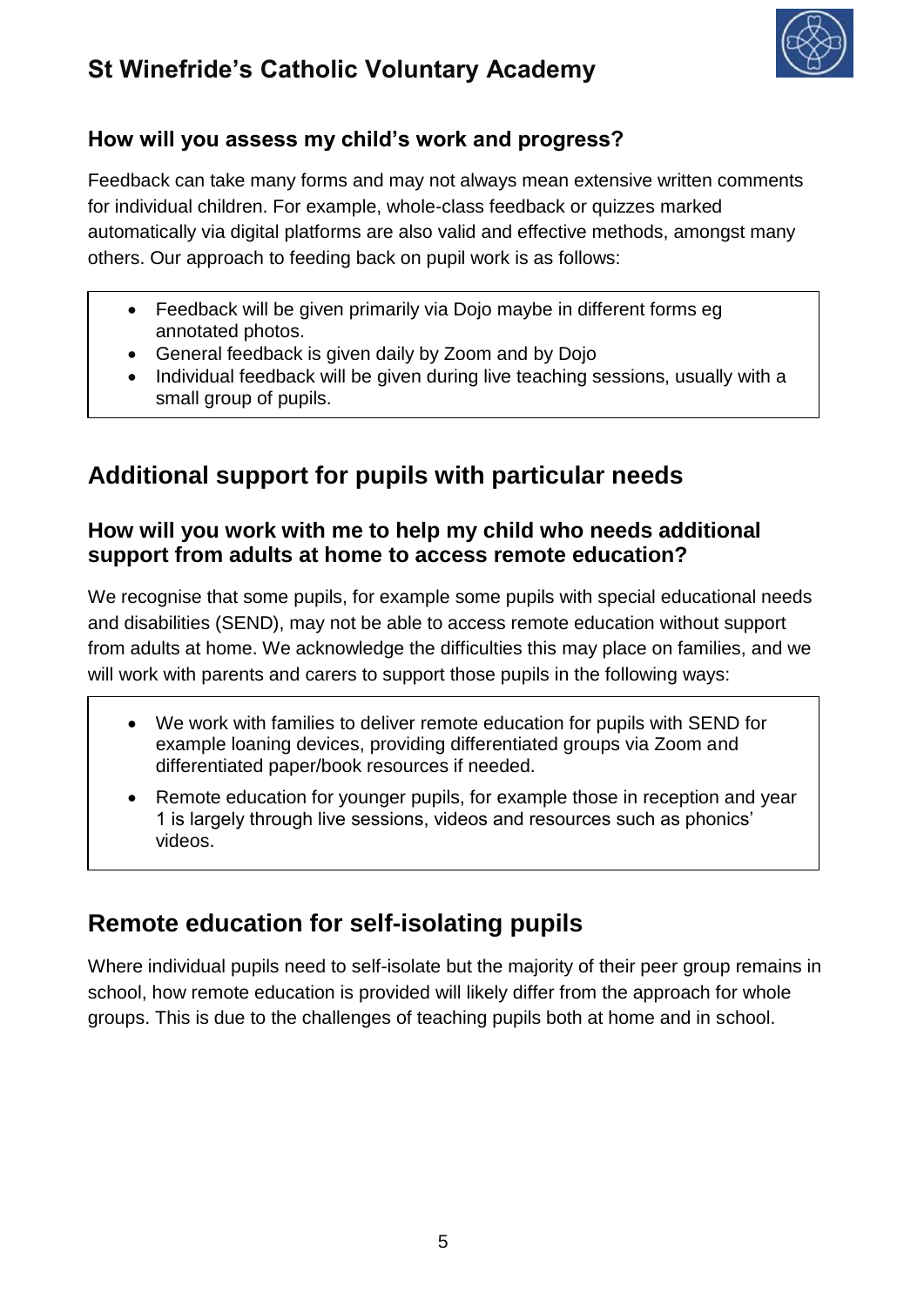# **St Winefride's Catholic Voluntary Academy**



### **How will you assess my child's work and progress?**

Feedback can take many forms and may not always mean extensive written comments for individual children. For example, whole-class feedback or quizzes marked automatically via digital platforms are also valid and effective methods, amongst many others. Our approach to feeding back on pupil work is as follows:

- Feedback will be given primarily via Dojo maybe in different forms eg annotated photos.
- General feedback is given daily by Zoom and by Dojo
- Individual feedback will be given during live teaching sessions, usually with a small group of pupils.

# **Additional support for pupils with particular needs**

### **How will you work with me to help my child who needs additional support from adults at home to access remote education?**

We recognise that some pupils, for example some pupils with special educational needs and disabilities (SEND), may not be able to access remote education without support from adults at home. We acknowledge the difficulties this may place on families, and we will work with parents and carers to support those pupils in the following ways:

- We work with families to deliver remote education for pupils with SEND for example loaning devices, providing differentiated groups via Zoom and differentiated paper/book resources if needed.
- Remote education for younger pupils, for example those in reception and year 1 is largely through live sessions, videos and resources such as phonics' videos.

# **Remote education for self-isolating pupils**

Where individual pupils need to self-isolate but the majority of their peer group remains in school, how remote education is provided will likely differ from the approach for whole groups. This is due to the challenges of teaching pupils both at home and in school.